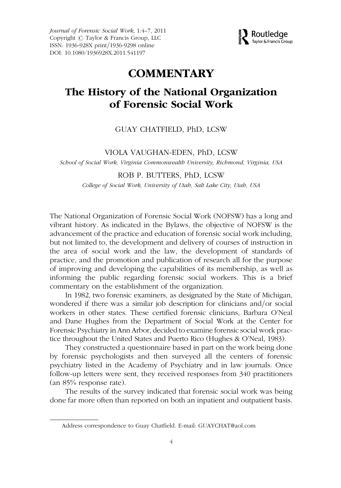Journal of Forensic Social Work, 1:4–7, 2011 Copyright  $\odot$  Taylor & Francis Group, LLC ISSN: 1936-928X print/1936-9298 online DOI: 10.1080/1936928X.2011.541197



# **COMMENTARY**

# The History of the National Organization of Forensic Social Work

### GUAY CHATFIELD, PhD, LCSW

#### VIOLA VAUGHAN-EDEN, PhD, LCSW

School of Social Work, Virginia Commonwealth University, Richmond, Virginia, USA

### ROB P. BUTTERS, PhD, LCSW

College of Social Work, University of Utah, Salt Lake City, Utah, USA

The National Organization of Forensic Social Work (NOFSW) has a long and vibrant history. As indicated in the Bylaws, the objective of NOFSW is the advancement of the practice and education of forensic social work including, but not limited to, the development and delivery of courses of instruction in the area of social work and the law, the development of standards of practice, and the promotion and publication of research all for the purpose of improving and developing the capabilities of its membership, as well as informing the public regarding forensic social workers. This is a brief commentary on the establishment of the organization.

In 1982, two forensic examiners, as designated by the State of Michigan, wondered if there was a similar job description for clinicians and/or social workers in other states. These certified forensic clinicians, Barbara O'Neal and Dane Hughes from the Department of Social Work at the Center for Forensic Psychiatry in Ann Arbor, decided to examine forensic social work practice throughout the United States and Puerto Rico (Hughes & O'Neal, 1983).

They constructed a questionnaire based in part on the work being done by forensic psychologists and then surveyed all the centers of forensic psychiatry listed in the Academy of Psychiatry and in law journals. Once follow-up letters were sent, they received responses from 340 practitioners (an 85% response rate).

The results of the survey indicated that forensic social work was being done far more often than reported on both an inpatient and outpatient basis.

Address correspondence to Guay Chatfield. E-mail: GUAYCHAT@aol.com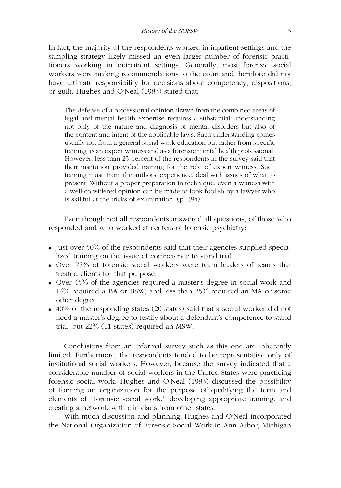In fact, the majority of the respondents worked in inpatient settings and the sampling strategy likely missed an even larger number of forensic practitioners working in outpatient settings. Generally, most forensic social workers were making recommendations to the court and therefore did not have ultimate responsibility for decisions about competency, dispositions, or guilt. Hughes and O'Neal (1983) stated that,

The defense of a professional opinion drawn from the combined areas of legal and mental health expertise requires a substantial understanding not only of the nature and diagnosis of mental disorders but also of the content and intent of the applicable laws. Such understanding comes usually not from a general social work education but rather from specific training as an expert witness and as a forensic mental health professional. However, less than 25 percent of the respondents in the survey said that their institution provided training for the role of expert witness. Such training must, from the authors' experience, deal with issues of what to present. Without a proper preparation in technique, even a witness with a well-considered opinion can be made to look foolish by a lawyer who is skillful at the tricks of examination. (p. 394)

Even though not all respondents answered all questions, of those who responded and who worked at centers of forensic psychiatry:

- . Just over 50% of the respondents said that their agencies supplied specialized training on the issue of competence to stand trial.
- . Over 75% of forensic social workers were team leaders of teams that treated clients for that purpose.
- . Over 45% of the agencies required a master's degree in social work and 14% required a BA or BSW, and less than 25% required an MA or some other degree.
- $\bullet$  40% of the responding states (20 states) said that a social worker did not need a master's degree to testify about a defendant's competence to stand trial, but 22% (11 states) required an MSW.

Conclusions from an informal survey such as this one are inherently limited. Furthermore, the respondents tended to be representative only of institutional social workers. However, because the survey indicated that a considerable number of social workers in the United States were practicing forensic social work, Hughes and O'Neal (1983) discussed the possibility of forming an organization for the purpose of qualifying the term and elements of ''forensic social work,'' developing appropriate training, and creating a network with clinicians from other states.

With much discussion and planning, Hughes and O'Neal incorporated the National Organization of Forensic Social Work in Ann Arbor, Michigan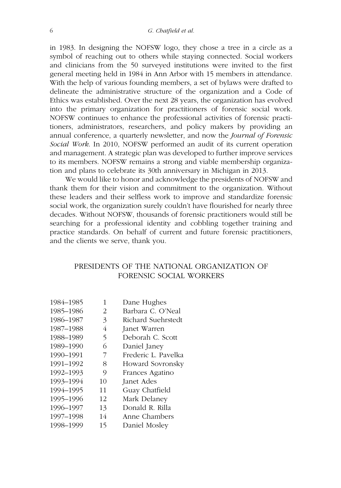in 1983. In designing the NOFSW logo, they chose a tree in a circle as a symbol of reaching out to others while staying connected. Social workers and clinicians from the 50 surveyed institutions were invited to the first general meeting held in 1984 in Ann Arbor with 15 members in attendance. With the help of various founding members, a set of bylaws were drafted to delineate the administrative structure of the organization and a Code of Ethics was established. Over the next 28 years, the organization has evolved into the primary organization for practitioners of forensic social work. NOFSW continues to enhance the professional activities of forensic practitioners, administrators, researchers, and policy makers by providing an annual conference, a quarterly newsletter, and now the Journal of Forensic Social Work. In 2010, NOFSW performed an audit of its current operation and management. A strategic plan was developed to further improve services to its members. NOFSW remains a strong and viable membership organization and plans to celebrate its 30th anniversary in Michigan in 2013.

We would like to honor and acknowledge the presidents of NOFSW and thank them for their vision and commitment to the organization. Without these leaders and their selfless work to improve and standardize forensic social work, the organization surely couldn't have flourished for nearly three decades. Without NOFSW, thousands of forensic practitioners would still be searching for a professional identity and cobbling together training and practice standards. On behalf of current and future forensic practitioners, and the clients we serve, thank you.

## PRESIDENTS OF THE NATIONAL ORGANIZATION OF FORENSIC SOCIAL WORKERS

| 1984-1985 | 1  | Dane Hughes         |
|-----------|----|---------------------|
| 1985-1986 | 2  | Barbara C. O'Neal   |
| 1986-1987 | 3  | Richard Suehrstedt  |
| 1987-1988 | 4  | Janet Warren        |
| 1988-1989 | 5  | Deborah C. Scott    |
| 1989-1990 | 6  | Daniel Janey        |
| 1990-1991 | 7  | Frederic L. Pavelka |
| 1991-1992 | 8  | Howard Sovronsky    |
| 1992-1993 | 9  | Frances Agatino     |
| 1993-1994 | 10 | Janet Ades          |
| 1994-1995 | 11 | Guay Chatfield      |
| 1995-1996 | 12 | Mark Delaney        |
| 1996-1997 | 13 | Donald R. Rilla     |
| 1997-1998 | 14 | Anne Chambers       |
| 1998-1999 | 15 | Daniel Mosley       |
|           |    |                     |